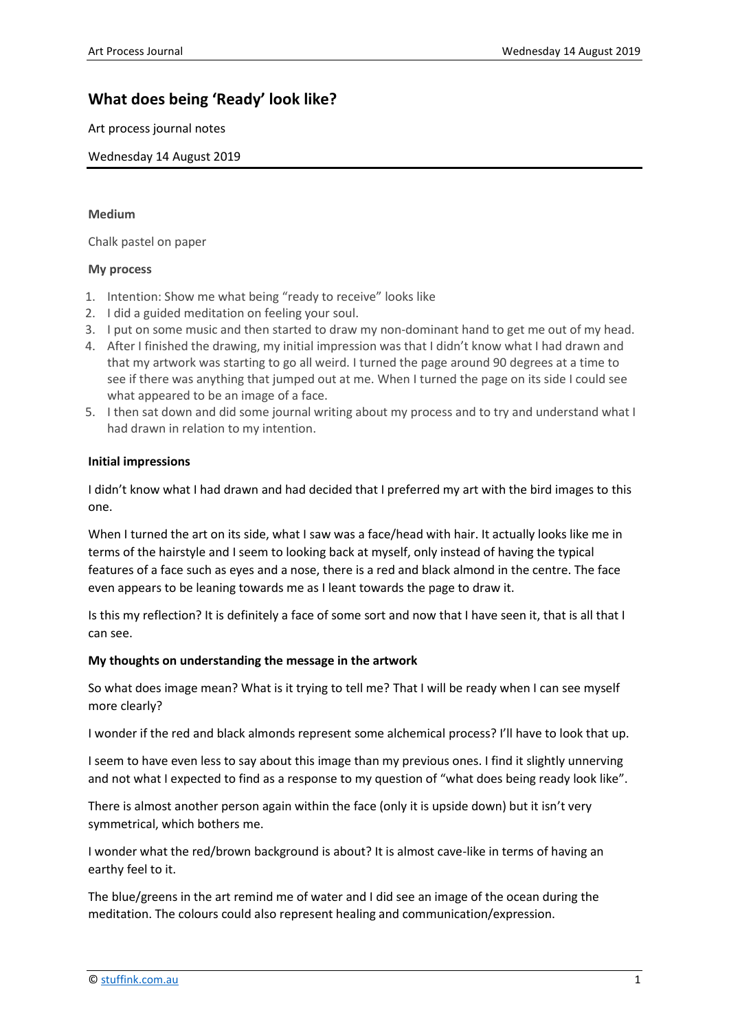# **What does being 'Ready' look like?**

Art process journal notes

Wednesday 14 August 2019

### **Medium**

Chalk pastel on paper

## **My process**

- 1. Intention: Show me what being "ready to receive" looks like
- 2. I did a guided meditation on feeling your soul.
- 3. I put on some music and then started to draw my non-dominant hand to get me out of my head.
- 4. After I finished the drawing, my initial impression was that I didn't know what I had drawn and that my artwork was starting to go all weird. I turned the page around 90 degrees at a time to see if there was anything that jumped out at me. When I turned the page on its side I could see what appeared to be an image of a face.
- 5. I then sat down and did some journal writing about my process and to try and understand what I had drawn in relation to my intention.

## **Initial impressions**

I didn't know what I had drawn and had decided that I preferred my art with the bird images to this one.

When I turned the art on its side, what I saw was a face/head with hair. It actually looks like me in terms of the hairstyle and I seem to looking back at myself, only instead of having the typical features of a face such as eyes and a nose, there is a red and black almond in the centre. The face even appears to be leaning towards me as I leant towards the page to draw it.

Is this my reflection? It is definitely a face of some sort and now that I have seen it, that is all that I can see.

#### **My thoughts on understanding the message in the artwork**

So what does image mean? What is it trying to tell me? That I will be ready when I can see myself more clearly?

I wonder if the red and black almonds represent some alchemical process? I'll have to look that up.

I seem to have even less to say about this image than my previous ones. I find it slightly unnerving and not what I expected to find as a response to my question of "what does being ready look like".

There is almost another person again within the face (only it is upside down) but it isn't very symmetrical, which bothers me.

I wonder what the red/brown background is about? It is almost cave-like in terms of having an earthy feel to it.

The blue/greens in the art remind me of water and I did see an image of the ocean during the meditation. The colours could also represent healing and communication/expression.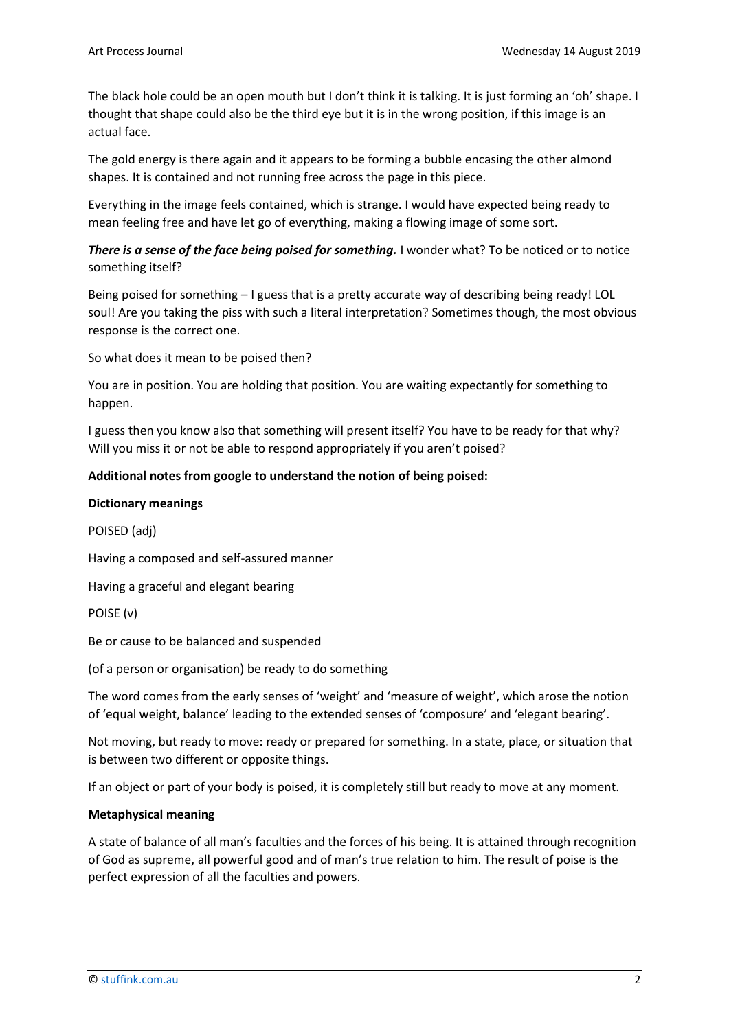The black hole could be an open mouth but I don't think it is talking. It is just forming an 'oh' shape. I thought that shape could also be the third eye but it is in the wrong position, if this image is an actual face.

The gold energy is there again and it appears to be forming a bubble encasing the other almond shapes. It is contained and not running free across the page in this piece.

Everything in the image feels contained, which is strange. I would have expected being ready to mean feeling free and have let go of everything, making a flowing image of some sort.

*There is a sense of the face being poised for something.* I wonder what? To be noticed or to notice something itself?

Being poised for something – I guess that is a pretty accurate way of describing being ready! LOL soul! Are you taking the piss with such a literal interpretation? Sometimes though, the most obvious response is the correct one.

So what does it mean to be poised then?

You are in position. You are holding that position. You are waiting expectantly for something to happen.

I guess then you know also that something will present itself? You have to be ready for that why? Will you miss it or not be able to respond appropriately if you aren't poised?

## **Additional notes from google to understand the notion of being poised:**

#### **Dictionary meanings**

POISED (adj)

Having a composed and self-assured manner

Having a graceful and elegant bearing

POISE (v)

Be or cause to be balanced and suspended

(of a person or organisation) be ready to do something

The word comes from the early senses of 'weight' and 'measure of weight', which arose the notion of 'equal weight, balance' leading to the extended senses of 'composure' and 'elegant bearing'.

Not moving, but ready to move: ready or prepared for something. In a state, place, or situation that is between two different or opposite things.

If an object or part of your body is poised, it is completely still but ready to move at any moment.

#### **Metaphysical meaning**

A state of balance of all man's faculties and the forces of his being. It is attained through recognition of God as supreme, all powerful good and of man's true relation to him. The result of poise is the perfect expression of all the faculties and powers.